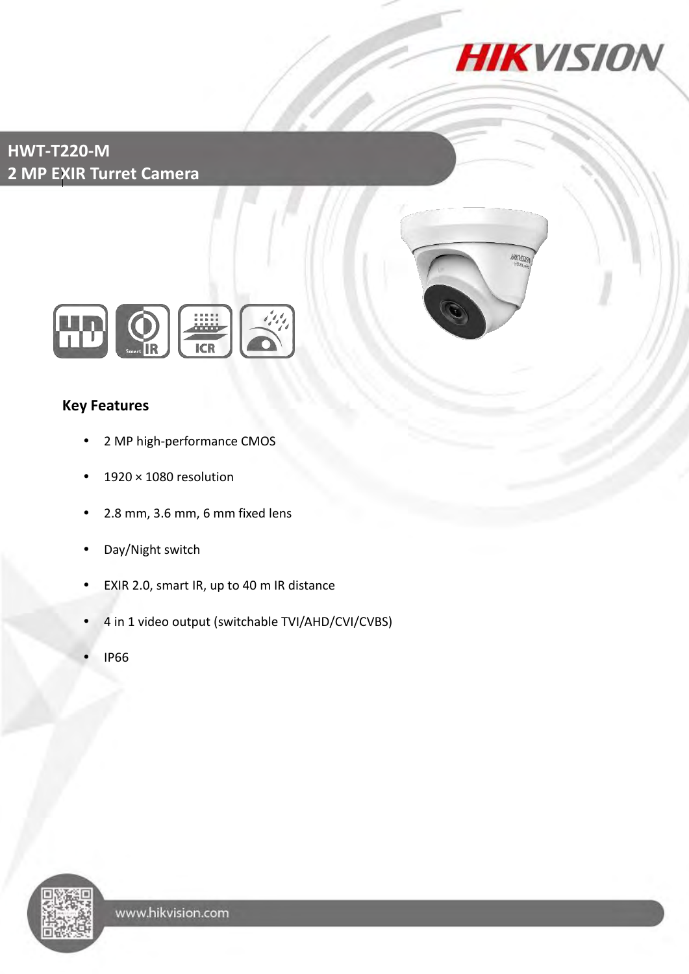

## **HWT-T220-M 2 MP EXIR Turret Camera**





## **Key Features**

- 2 MP high-performance CMOS
- $\cdot$  1920 × 1080 resolution
- 2.8 mm, 3.6 mm, 6 mm fixed lens
- Day/Night switch
- EXIR 2.0, smart IR, up to 40 m IR distance
- 4 in 1 video output (switchable TVI/AHD/CVI/CVBS)
- IP66

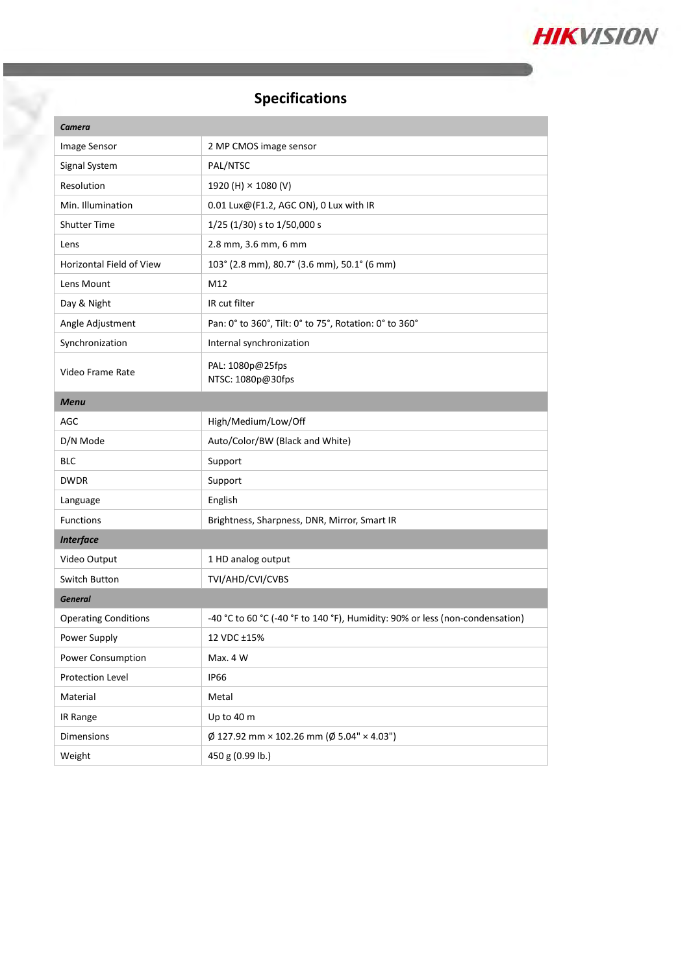

# **Specifications**

| Camera                      |                                                                              |
|-----------------------------|------------------------------------------------------------------------------|
| Image Sensor                | 2 MP CMOS image sensor                                                       |
| Signal System               | PAL/NTSC                                                                     |
| Resolution                  | 1920 (H) × 1080 (V)                                                          |
| Min. Illumination           | 0.01 Lux@(F1.2, AGC ON), 0 Lux with IR                                       |
| <b>Shutter Time</b>         | 1/25 (1/30) s to 1/50,000 s                                                  |
| Lens                        | 2.8 mm, 3.6 mm, 6 mm                                                         |
| Horizontal Field of View    | 103° (2.8 mm), 80.7° (3.6 mm), 50.1° (6 mm)                                  |
| Lens Mount                  | M12                                                                          |
| Day & Night                 | IR cut filter                                                                |
| Angle Adjustment            | Pan: 0° to 360°, Tilt: 0° to 75°, Rotation: 0° to 360°                       |
| Synchronization             | Internal synchronization                                                     |
| Video Frame Rate            | PAL: 1080p@25fps<br>NTSC: 1080p@30fps                                        |
| <b>Menu</b>                 |                                                                              |
| <b>AGC</b>                  | High/Medium/Low/Off                                                          |
| D/N Mode                    | Auto/Color/BW (Black and White)                                              |
| BLC                         | Support                                                                      |
| <b>DWDR</b>                 | Support                                                                      |
| Language                    | English                                                                      |
| <b>Functions</b>            | Brightness, Sharpness, DNR, Mirror, Smart IR                                 |
| <b>Interface</b>            |                                                                              |
| Video Output                | 1 HD analog output                                                           |
| <b>Switch Button</b>        | TVI/AHD/CVI/CVBS                                                             |
| <b>General</b>              |                                                                              |
| <b>Operating Conditions</b> | -40 °C to 60 °C (-40 °F to 140 °F), Humidity: 90% or less (non-condensation) |
| Power Supply                | 12 VDC ±15%                                                                  |
| Power Consumption           | Max. 4 W                                                                     |
| Protection Level            | <b>IP66</b>                                                                  |
| Material                    | Metal                                                                        |
| IR Range                    | Up to 40 m                                                                   |
| Dimensions                  | $\phi$ 127.92 mm × 102.26 mm ( $\phi$ 5.04" × 4.03")                         |
| Weight                      | 450 g (0.99 lb.)                                                             |